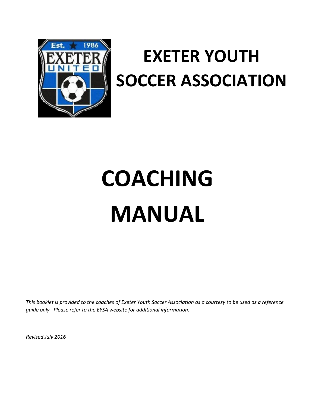

# **EXETER YOUTH SOCCER ASSOCIATION**

# **COACHING MANUAL**

*This booklet is provided to the coaches of Exeter Youth Soccer Association as a courtesy to be used as a reference guide only. Please refer to the EYSA website for additional information.*

*Revised July 2016*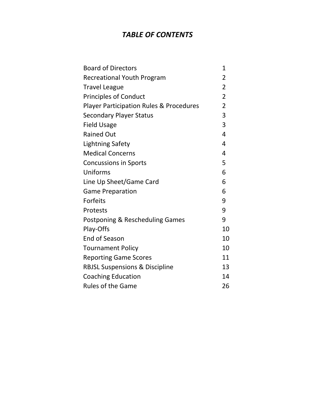## *TABLE OF CONTENTS*

| <b>Board of Directors</b>                          | 1              |
|----------------------------------------------------|----------------|
| <b>Recreational Youth Program</b>                  | $\overline{2}$ |
| <b>Travel League</b>                               | $\overline{2}$ |
| <b>Principles of Conduct</b>                       | $\overline{2}$ |
| <b>Player Participation Rules &amp; Procedures</b> | $\overline{2}$ |
| <b>Secondary Player Status</b>                     | 3              |
| <b>Field Usage</b>                                 | 3              |
| <b>Rained Out</b>                                  | $\overline{4}$ |
| <b>Lightning Safety</b>                            | 4              |
| <b>Medical Concerns</b>                            | 4              |
| <b>Concussions in Sports</b>                       | 5              |
| Uniforms                                           | 6              |
| Line Up Sheet/Game Card                            | 6              |
| <b>Game Preparation</b>                            | 6              |
| Forfeits                                           | 9              |
| Protests                                           | 9              |
| Postponing & Rescheduling Games                    | 9              |
| Play-Offs                                          | 10             |
| End of Season                                      | 10             |
| <b>Tournament Policy</b>                           | 10             |
| <b>Reporting Game Scores</b>                       | 11             |
| <b>RBJSL Suspensions &amp; Discipline</b>          | 13             |
| <b>Coaching Education</b>                          | 14             |
| <b>Rules of the Game</b>                           | 26             |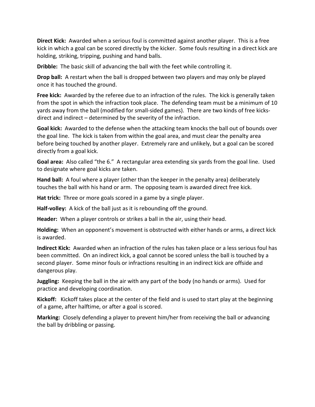**Direct Kick:** Awarded when a serious foul is committed against another player. This is a free kick in which a goal can be scored directly by the kicker. Some fouls resulting in a direct kick are holding, striking, tripping, pushing and hand balls.

**Dribble:** The basic skill of advancing the ball with the feet while controlling it.

**Drop ball:** A restart when the ball is dropped between two players and may only be played once it has touched the ground.

**Free kick:** Awarded by the referee due to an infraction of the rules. The kick is generally taken from the spot in which the infraction took place. The defending team must be a minimum of 10 yards away from the ball (modified for small-sided games). There are two kinds of free kicksdirect and indirect – determined by the severity of the infraction.

**Goal kick:** Awarded to the defense when the attacking team knocks the ball out of bounds over the goal line. The kick is taken from within the goal area, and must clear the penalty area before being touched by another player. Extremely rare and unlikely, but a goal can be scored directly from a goal kick.

**Goal area:** Also called "the 6." A rectangular area extending six yards from the goal line. Used to designate where goal kicks are taken.

**Hand ball:** A foul where a player (other than the keeper in the penalty area) deliberately touches the ball with his hand or arm. The opposing team is awarded direct free kick.

**Hat trick:** Three or more goals scored in a game by a single player.

**Half-volley:** A kick of the ball just as it is rebounding off the ground.

**Header:** When a player controls or strikes a ball in the air, using their head.

**Holding:** When an opponent's movement is obstructed with either hands or arms, a direct kick is awarded.

**Indirect Kick:** Awarded when an infraction of the rules has taken place or a less serious foul has been committed. On an indirect kick, a goal cannot be scored unless the ball is touched by a second player. Some minor fouls or infractions resulting in an indirect kick are offside and dangerous play.

**Juggling:** Keeping the ball in the air with any part of the body (no hands or arms). Used for practice and developing coordination.

**Kickoff:** Kickoff takes place at the center of the field and is used to start play at the beginning of a game, after halftime, or after a goal is scored.

**Marking:** Closely defending a player to prevent him/her from receiving the ball or advancing the ball by dribbling or passing.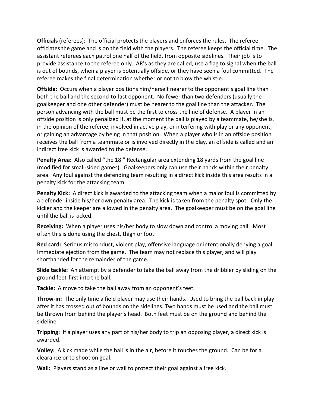**Officials** (referees): The official protects the players and enforces the rules. The referee officiates the game and is on the field with the players. The referee keeps the official time. The assistant referees each patrol one half of the field, from opposite sidelines. Their job is to provide assistance to the referee only. AR's as they are called, use a flag to signal when the ball is out of bounds, when a player is potentially offside, or they have seen a foul committed. The referee makes the final determination whether or not to blow the whistle.

**Offside:** Occurs when a player positions him/herself nearer to the opponent's goal line than both the ball and the second-to-last opponent. No fewer than two defenders (usually the goalkeeper and one other defender) must be nearer to the goal line than the attacker. The person advancing with the ball must be the first to cross the line of defense. A player in an offside position is only penalized if, at the moment the ball is played by a teammate, he/she is, in the opinion of the referee, involved in active play, or interfering with play or any opponent, or gaining an advantage by being in that position. When a player who is in an offside position receives the ball from a teammate or is involved directly in the play, an offside is called and an indirect free kick is awarded to the defense.

**Penalty Area:** Also called "the 18." Rectangular area extending 18 yards from the goal line (modified for small-sided games). Goalkeepers only can use their hands within their penalty area. Any foul against the defending team resulting in a direct kick inside this area results in a penalty kick for the attacking team.

**Penalty Kick:** A direct kick is awarded to the attacking team when a major foul is committed by a defender inside his/her own penalty area. The kick is taken from the penalty spot. Only the kicker and the keeper are allowed in the penalty area. The goalkeeper must be on the goal line until the ball is kicked.

**Receiving:** When a player uses his/her body to slow down and control a moving ball. Most often this is done using the chest, thigh or foot.

**Red card:** Serious misconduct, violent play, offensive language or intentionally denying a goal. Immediate ejection from the game. The team may not replace this player, and will play shorthanded for the remainder of the game.

**Slide tackle:** An attempt by a defender to take the ball away from the dribbler by sliding on the ground feet-first into the ball.

**Tackle:** A move to take the ball away from an opponent's feet.

**Throw-in:** The only time a field player may use their hands. Used to bring the ball back in play after it has crossed out of bounds on the sidelines. Two hands must be used and the ball must be thrown from behind the player's head. Both feet must be on the ground and behind the sideline.

**Tripping:** If a player uses any part of his/her body to trip an opposing player, a direct kick is awarded.

**Volley:** A kick made while the ball is in the air, before it touches the ground. Can be for a clearance or to shoot on goal.

**Wall:** Players stand as a line or wall to protect their goal against a free kick.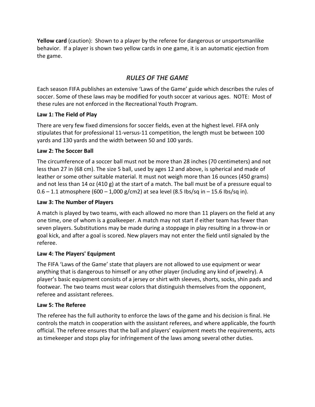**Yellow card** (caution): Shown to a player by the referee for dangerous or unsportsmanlike behavior. If a player is shown two yellow cards in one game, it is an automatic ejection from the game.

### *RULES OF THE GAME*

Each season FIFA publishes an extensive ['Laws of the Game'](http://www.fifa.com/mm/document/affederation/generic/81/42/36/lawsofthegame_2011_12_en.pdf) guide which describes the rules of soccer. Some of these laws may be modified for youth soccer at various ages. NOTE: Most of these rules are not enforced in the Recreational Youth Program.

#### **Law 1: The Field of Play**

There are very few fixed dimensions for soccer fields, even at the highest level. FIFA only stipulates that for professional 11-versus-11 competition, the length must be between 100 yards and 130 yards and the width between 50 and 100 yards.

#### **Law 2: The Soccer Ball**

The circumference of a soccer ball must not be more than 28 inches (70 centimeters) and not less than 27 in (68 cm). The size 5 ball, used by ages 12 and above, is spherical and made of leather or some other suitable material. It must not weigh more than 16 ounces (450 grams) and not less than 14 oz (410 g) at the start of a match. The ball must be of a pressure equal to 0.6 – 1.1 atmosphere (600 – 1,000 g/cm2) at sea level (8.5 Ibs/sq in – 15.6 Ibs/sq in).

#### **Law 3: The Number of Players**

A match is played by two teams, with each allowed no more than 11 players on the field at any one time, one of whom is a goalkeeper. A match may not start if either team has fewer than seven players. Substitutions may be made during a stoppage in play resulting in a throw-in or goal kick, and after a goal is scored. New players may not enter the field until signaled by the referee.

#### **Law 4: The Players' Equipment**

The [FIFA 'Laws of the Game'](http://www.fifa.com/mm/document/affederation/generic/81/42/36/lawsofthegame_2011_12_en.pdf) state that players are not allowed to use equipment or wear anything that is dangerous to himself or any other player (including any kind of jewelry). A player's basic equipment consists of a jersey or shirt with sleeves, shorts, socks, shin pads and footwear. The two teams must wear colors that distinguish themselves from the opponent, referee and assistant referees.

#### **Law 5: The Referee**

The referee has the full authority to enforce the laws of the game and his decision is final. He controls the match in cooperation with the assistant referees, and where applicable, the fourth official. The referee ensures that the ball and players' equipment meets the requirements, acts as timekeeper and stops play for infringement of the laws among several other duties.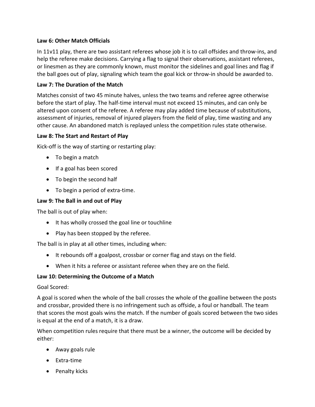#### **Law 6: Other Match Officials**

In 11v11 play, there are two assistant referees whose job it is to call offsides and throw-ins, and help the referee make decisions. Carrying a flag to signal their observations, assistant referees, or linesmen as they are commonly known, must monitor the sidelines and goal lines and flag if the ball goes out of play, signaling which team the goal kick or throw-in should be awarded to.

#### **Law 7: The Duration of the Match**

Matches consist of two 45 minute halves, unless the two teams and referee agree otherwise before the start of play. The half-time interval must not exceed 15 minutes, and can only be altered upon consent of the referee. A referee may play added time because of substitutions, assessment of injuries, removal of injured players from the field of play, time wasting and any other cause. An abandoned match is replayed unless the competition rules state otherwise.

#### **Law 8: The Start and Restart of Play**

Kick-off is the way of starting or restarting play:

- To begin a match
- If a goal has been scored
- To begin the second half
- To begin a period of extra-time.

#### **Law 9: The Ball in and out of Play**

The ball is out of play when:

- It has wholly crossed the goal line or touchline
- Play has been stopped by the referee.

The ball is in play at all other times, including when:

- It rebounds off a goalpost, crossbar or corner flag and stays on the field.
- When it hits a referee or assistant referee when they are on the field.

#### **Law 10: Determining the Outcome of a Match**

#### Goal Scored:

A goal is scored when the whole of the ball crosses the whole of the goalline between the posts and crossbar, provided there is no infringement such as offside, a foul or handball. The team that scores the most goals wins the match. If the number of goals scored between the two sides is equal at the end of a match, it is a draw.

When competition rules require that there must be a winner, the outcome will be decided by either:

- Away goals rule
- Extra-time
- Penalty kicks